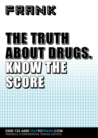



0300 123 6600 TALKTOFRANK.COM FRIENDLY, CONFIDENTIAL DRUGS ADVICE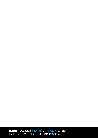0300 123 6600 TALKTOFRANK.COM FRIENDLY, CONFIDENTIAL DRUGS ADVICE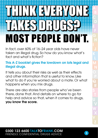# THINK EVERYONE **TAMAT** MOST PEOPLE DON'T.

In fact, over 60% of 16–24 year olds have never taken an illegal drug. So how do you know what's fact and what's fiction?

This A-Z booklet gives the lowdown on lots legal and illegal drugs.

It tells you about their risks as well as their effects and other information that is useful to know. Like what to do if you're worried about a mate. Or what happens when you mix drugs.

There are also stories from people who've been there, done that. And details on where to go for help and advice so that, when it comes to drugs, you know the score.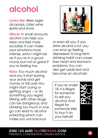### alcohol

Looks like: Beer, lager, alcopops, cider, wine, spirits and shots.

Effects: In small amounts alcohol can help you relax and feel more sociable. It can make your emotions more intense, which might be ok if you're in a good mood, but not so great if you're feeling low.

Risks: Too much alcohol and you'll start slurring your words and get clumsy or fall over. You might start crying or getting angry – or do something you regret. Mixing with other drugs can be dangerous, and drinking too much in one go can lead to alcohol poisoning which can make you unconscious



or even kill you. If you drink alcohol a lot, you can end up feeling depressed. A long-term drinking habit can cause liver, heart and stomach problems. You can also get addicted and become an alcoholic.

If you're under 18, it is illegal for someone to sell you alcohol. And illegal for someone else to buy it on your behalf.

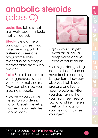### anabolic steroids (class C)

Looks like: Tablets that are swallowed or a liquid that is injected.

**Effects:** Steroids help build up muscles if you take them as part of a strenuous exercise programme. They might also help people recover faster from such exercise.

Risks: Steroids can make you aggressive, even if you are normally calm. They can also stop you growing properly.

• blokes – you can get erection problems, grow breasts, develop acne or your testicles could shrink



• girls – you can get extra facial hair, a deep voice and your breasts could shrink

You might start getting paranoid, confused or have trouble sleeping. Longer term, they can give you high blood pressure and liver or heart problems. After you stop taking them, you might feel tired or low for a while. There's a risk of damaging your veins or muscles if you inject.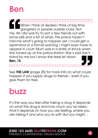### Ben

When I think of dealers I think of big time gangsters or people outside clubs. Not me. All I did was try to sort a few friends out with some pills and a bit of whizz. The police haven't told me what's going to happen yet. I could get a reprimand or a formal warning. I might even have to appear in court. Mum was in a state of shock when she turned up at the police station. She's said she'll stand by me but I know she feels let down. Ben, 15

See **THE LAW** (page 25) for more info on what could happen if you supply drugs to friends – even if you give them for free.

### buzz

It's the way you feel after taking a drug. It depends on what the drug is and how much you've taken. And it depends on how you are feeling, where you are taking it and who you're with. But you might…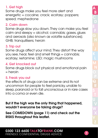#### 1. Get high

Some drugs make you feel more alert and energetic = cocaine; crack; ecstasy; poppers; speed; mephedrone

#### 2. Calm down

Some drugs slow you down. They can make you feel calm and sleepy = alcohol; cannabis; gases, glues and aerosols [also known as volatile substances]; GHB; tranquillisers; heroin

#### 3. Trip out

Some drugs affect your mind. They distort the way you see, hear, feel and smell things = cannabis; ecstasy; ketamine; LSD; magic mushrooms

#### 4. Get knocked out

Some drugs block out physical and emotional pain  $=$  heroin

#### 5. Freak you out

the effects of drugs can be extreme and its not uncommon for people to feel panicky, unable to sleep, paranoid or to fall unconscious or in rare cases into a coma or even die.

But if the high was the only thing that happened, wouldn't everyone be taking drugs?

See COMEDOWN (page 11) and check out the RISKS throughout this leaflet.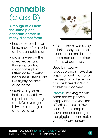### cannabis (class B)

#### Although its all from the same plant, cannabis comes in many different forms:

- hash = blacky-brown lump made from resin of the cannabis plant
- arass or weed = the dried leaves and flowering parts of a cannabis plant. Often called 'herbal' because it often looks like tightly packed dried herbs
- $\bullet$  skunk = a type of herbal cannabis with a particularly strong smell. On average it is twice as strong as other varieties



 $\bullet$  Cannabis oil = a sticky, dark honey coloured substance and isn't as common as the other forms of cannabis

Usually mixed with tobacco and smoked as a spliff or joint. Can also be used to make tea or can be baked in 'hash cakes' and cookies.

Effects: Smoking a spliff often makes people happy and relaxed, the effects can last a few hours. Some people have one puff and get the giggles. It can make you feel very hungry –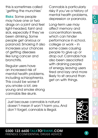this is sometimes called 'getting the munchies'

Risks: Some people may have one or two drags on a joint and feel light-headed, faint and sick, especially if they've been drinking. Some people get anxious or paranoid. Smoking it also increases your chances of getting diseases like lung cancer and bronchitis.

Regular users have an increased risk of mental health problems, including schizophrenia. This could be worse if you smoke a lot, are young and smoke strong cannabis like skunk.

Cannabis is particularly risky if you've a history of mental health problems, depression or paranoia.

Long-term use may affect memory and concentration levels, which can hinder performance in school, college or work – in some cases causing people to give up or drop out. Cannabis has also been associated with draining people of energy, leaving users tired and lazy and more likely to sit around than get on with things.

Just because cannabis is natural doesn't mean it won't harm you. And don't forget, cannabis is illegal.

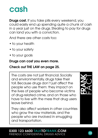

**Drugs cost.** If you take pills every weekend, you could easily end up spending quite a chunk of cash in a year just on the drugs. Stealing to pay for drugs can land you with a conviction.

And there are other costs too:

- to your health
- to your safety
- to your goals

#### Drugs can cost you even more.

#### Check out THE LAW on page 25.

The costs are not just financial. Socially and environmentally, drugs take their toll. Because drugs don't just affect the people who use them: they impact on the lives of people who become victims of drug-related crime, and on those who have to live with the mess that drug users leave behind.

They also affect workers in other countries who grow the raw materials, and the people who are involved in smuggling and transportation.



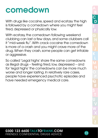### comedown

With drugs like cocaine, speed and ecstasy the high is followed by a comedown where you might feel tired, depressed or physically low.

With ecstasy, the comedown following weekend clubbing can last a few days, and some clubbers call it "mid-week flu". With crack cocaine the comedown is more of a crash and you might crave more of the drug. When they crash, some people can get irritable or aggressive.

So called 'Legal highs' share the same comedowns as illegal drugs – feeling tired, low, depressed – and for 'legal highs' the comedowns can be more much worse and longer lasting. In relatively rare cases, people have experienced psychotic episodes and have needed emergency medical care.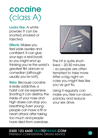### cocaine (class A)

Looks like: A white powder. It can be snorted, smoked or injected.

Effects: Makes you feel wide awake and confident. It can give your ego a real boost, so you might end up thinking you're the world's greatest flirt, dancer or comedian [although usually you're not!].

Risks: Because cocaine is really addictive, a habit can be expensive. Snorting it can destroy the inside of your nose and high doses can stop you breathing. Even young people can have a fit or heart attack after taking too much and people have died from overdose.



The hit is quite shortlived – 20-30 minutes – so people are often tempted to take more. After a big night on coke you might feel like you've got flu.

Using it regularly can make you feel run-down, panicky and reduce your sex drive.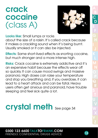### **crack** cocaine (class A)



Looks like: Small lumps or rocks

about the size of a raisin. It's called crack because it makes a crackling sound when it's being burnt. Usually smoked or it can also be injected.

Effects: Same short-lived effects as snorting cocaine, but much stronger and a more intense high.

Risks: Crack cocaine is extremely addictive and it's an expensive habit because the effects wear off so quickly. It can cause mood swings and massive paranoia. High doses can raise your temperature and stop you breathing and, if you overdose, it can lead to a heart attack and can be fatal. Heavy users often get anxious and paranoid, have trouble sleeping and feel sick quite a lot.

## crystal meth  $s_{ee\,page 34}$

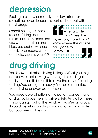### depression

Feeling a bit low or moody the day after – or sometimes even longer – is part of the deal with most drugs.

Sometimes it gets more serious. If things don't make sense any more and you want to curl up and hide, you probably need to talk to someone who can help, such as your GP.



# drug driving

You know that drink-driving is illegal. What you might not know is that driving when high is also illegal – and you can still be unfit to drive the day after using a drug. You can get a heavy fine, be disqualified from driving or even go to prison.

You need co-ordination, anticipation, concentration and good judgement to drive safely. And all of these things can go out of the window if you're on drugs. If you drive whilst on drugs you not only risk your life but your friends' lives too.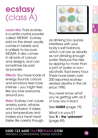### ecstasy (class A)

Looks like: Pure ecstasy is a white crystal powder called 'MDMA'. Ecstasy sold on the street usually comes in tablets and is unlikely to be pure MDMA. It also comes in all sorts of colours and designs, and can sometimes be sold as powder.

Effects: You have loads of energy. Sounds, colours and emotions feel more intense – you might feel like you love everyone around you.

Risks: Ecstasy can cause anxiety, panic attacks and confusion. It raises your temperature and makes your heart beat faster. Be careful though,



as drinking too quickly interferes with your body's salt balance, which can be as deadly as not drinking enough water. Reduce the risks by sipping no more than a pint of water or nonalcoholic fluid every hour. There have been over 200 reported ecstasyrelated deaths in the UK since 1990.

You never know what you're getting with an E or how you'll react.

See HARM (page 19)

What's in your E? See X – the 'unknown' (page 49)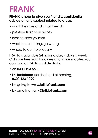### FRANK

#### FRANK is here to give you friendly, confidential advice on any subject related to drugs:

- what they are and what they do
- pressure from your mates
- looking after yourself
- what to do if things go wrong
- where to get help locally

FRANK is available 24 hours a day, 7 days a week. Calls are free from landlines and some mobiles. You can talk to FRANK confidentially:

- on 0300 123 6600
- by **textphone** (for the hard of hearing) 0300 123 1099
- by going to www.talktofrank.com
- by emailing frank@talktofrank.com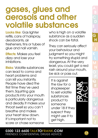### gases, glues and aerosols and other volatile substances

Looks like: Gas lighter refills, cans of hairspray, deodorants, air fresheners, tins or tubes of glue and nail varnish.

**Effects:** Makes you feel dizzy and lose your inhibitions.

Risks: Volatile substances can lead to coma and heart problems and can kill you instantly. People have died the first time they've used them. Squirting gas products into your mouth is particularly dangerous and deadly. It makes your throat swell so you can't breathe and makes your heart slow down. It's important not to scare or chase someone

who is high on a volatile substance as a sudden shock can be fatal.

They can seriously affect your behaviour and judgment so you might try something stupid and dangerous. At the very least, you could get a red rash around your mouth, be sick or pass out.

It is against the law for a shopkeeper to sell volatile substances product to someone under 18 if they suspect they might use it to get high.



#### 0300 123 6600 TALKTOFRANK.COM FRIENDLY, CONFIDENTIAL DRUGS ADVICE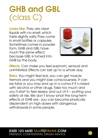### GHB and GBL (class C)

Looks like: They are clear liquids with no smell, which taste slightly salty. They come in small bottles or capsules. Sometimes comes in powder form. GHB and GBL have much the same effect, because GBL is turned into GHB by the body.



**Effects:** Can make you feel euphoric, sensual and uninhibited. Effects can last up to a whole day.

Risks: You might feel sick, you can get muscle tremors and you might lose consciousness. It can be fatal or you may end up in a coma if it's mixed with alcohol or other drugs. Take too much and you'll start to feel sleepy and out of it – putting your safety at risk. We don't know what the long-term effects of GHB are , you can become physically dependent on high doses with dangerous withdrawals in some people.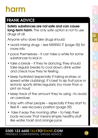### harm

### FRANK ADVICE

Safety substances are not safe and can cause **long-term harm.** The only safe option is not to use drugs at all.

Anyone who does take drugs should:

- avoid mixing drugs see MIXING IT (page 35) for more info
- pace themselves it can take a while for some substances to kick in
- take a break if they're dancina, they should take regular breaks to cool down, drink water and check how they're feeling
- keep hydrated (especially if taking ecstasy or speed while clubbing]. It's best to sip fruit juice or isotonic sports drinks regularly [no more than a pint an hour]
- keep track of the amount they're using -to avoid an overdose
- stay with other people especially if they start to feel ill – see recovery position (page 39)
- take it easy the morning after to help their body recover. That means simple, healthy stuff like water, toast and orange juice

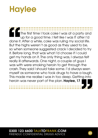### **Haylee**

The first time I took coke I was at a party and up for a good time. I felt like I was IT after I'd done it. After a while, coke was ruling my social life. But the highs weren't as good as they used to be, so when someone suggested crack I decided to try it. Before long, that was what I'd choose if I could get my hands on it. The only thing was, I always felt really ill afterwards. One night, a couple of guys I was with were smoking heroin to get through the crash. They said I should take some. I'd always seen myself as someone who took drugs to have a laugh. This made me realise I was in too deep. Getting into heroin was never part of the plan. Haylee, 17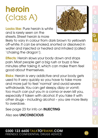### heroin (class A)

Looks like: Pure heroin is white and is rarely seen on the streets. Street heroin is more



likely to vary in colour from dark brown to yellowish off-white. It can be smoked, snorted or dissolved in water and injected or heated and inhaled [called 'chasing the dragon'].

**Effects:** Heroin slows your body down and stops pain. Most people get a big rush or buzz a few minutes after taking it, which can make them feel good about themselves.

Risks: Heroin is very addictive and your body gets used to it very quickly so you have to take more and more just to feel 'normal' and avoid severe withdrawals. You can get sleepy, dizzy or vomit; too much can put you in a coma or even kill you, especially if taken with alcohol. If you take it with other drugs – including alcohol – you are more likely to overdose.

See page 23 for info on INJECTING

Also see UNCONSCIOUS

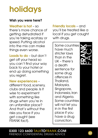### holidays

#### Wish you were here?

Weather is hot  $-$  so there's more chance of getting dehydrated if you're taking ecstasy or speed. Putting alcohol into the mix can make things even worse.

Loads to do – but don't get off your head so you can't find your way back to your hotel or end up doing something you regret.

New experiences –

different food, scenery, clubs and people. Is it wise to experiment with something like drugs when you're in an unfamiliar place? And that's without the risks you face if you get caught [see FRANK fact).

Friendly locals – and you'll be treated like a local if you get caught with drugs.

Some countries have much stricter laws than in the UK – there's a death sentence for some drug offences in Thailand, Malaysia, Singapore, Indonesia, Iran and Algeria. Some countries will not let you in in the first place if you have a drug conviction.





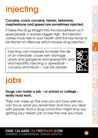# **injecting**

#### Cocaine, crack cocaine, heroin, ketamine, mephedrone and speed are sometimes injected.

It takes the drug straight into the bloodstream so it gives people a quicker, bigger high. But injection carries more risks to your health and the law tends to be stricter on offences which involve drug injection.

Injecting can massively increase the risk of an overdose, cause vein damage, ulcers and gangrene and spread HIV and viral hepatitis. Injecting a 'speedball' – cocaine and heroin – can be deadly.

### jobs

#### Drugs can make a job – or school or college – really hard work.

They can mess up the way you act, how well you can focus, what you remember and how you deal with people. And a drug conviction might stop you getting your dream job or lose the one you have.



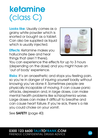### ketamine (class C)

Looks like: Usually comes as a grainy white powder which is snorted or bought as a tablet. Can also be supplied as liquid which is usually injected.

**Effects:** Ketamine makes you hallucinate (see and hear things that aren't there).



You can experience the effects for up to 3 hours [depending on the dose] and you might have an 'out of body' experience.

Risks: It's an anaesthetic and stops you feeling pain, so you're in danger of injuring yourself badly without knowing you've done it. Sometimes people are physically incapable of moving. It can cause panic attacks, depression and, in large doses, can make mental health problems like schizophrenia worse. Large doses can make it difficult to breathe and can cause heart failure. If you're sick, there's a risk you could choke on your vomit.

See SAFETY [page 40]

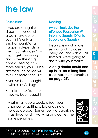### the law

#### **Possession**

If you are caught with drugs the police will always take action, even if it's only a small amount. What happens depends on the circumstances. You might get a warning and have the drug confiscated or, if it's more serious, you will be arrested. The police will think it's more serious if:

- you've been caught with class A drugs
- this isn't the first time you've been caught

#### **Dealing**

#### (which includes the offences Possession With Intent to Supply, Offer to Supply and Supply)

Dealing is much more serious and includes being caught with drugs that you were going to share with your mates.

A drug dealer could end up in jail for a long time [see maximum penalties on page 26].

A criminal record could affect your chances of getting a job or going on holiday abroad. Remember – drug-driving is as illegal as drink-driving and carries the same penalties.

F



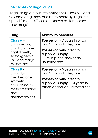#### The Classes of illegal drugs

Illegal drugs are put into categories: Class A, B and C. Some drugs may also be temporarily illegal for up to 12 months. These are known as 'temporary class drugs'.

| Drug                                                                              | <b>Maximum penalties</b>                                                                        |
|-----------------------------------------------------------------------------------|-------------------------------------------------------------------------------------------------|
| Class A -<br>cocaine and                                                          | <b>Possession</b> $-7$ years in prison<br>and/or an unlimited fine                              |
| crack cocaine.<br>crystal meth,<br>ecstasy, heroin,<br>LSD and magic<br>mushrooms | Possession with intent to<br>supply or supply<br>- Life in prison and/or an<br>unlimited fine   |
| Class B -<br>cannabis,                                                            | <b>Possession</b> $-5$ years in prison<br>and/or an unlimited fine                              |
| mephedrone,<br>synthetic<br>cannabinoids,<br>methoxetamine<br>and<br>amphetamines | Possession with intent to<br>supply or supply $-14$ years in<br>prison and/or an unlimited fine |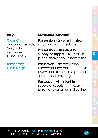| วท     |   |
|--------|---|
|        |   |
|        |   |
| s in   | Ķ |
| I fine |   |
|        |   |
| take   |   |
| cted   |   |
|        |   |
|        |   |
| s in   |   |
| fine.  |   |
|        |   |
|        |   |
|        |   |
|        |   |
|        |   |
|        |   |

| Drug                                                                           | <b>Maximum penalties</b>                                                                                                     |
|--------------------------------------------------------------------------------|------------------------------------------------------------------------------------------------------------------------------|
| Class C -<br>anabolic steroids.<br>GBL, GHB,<br>ketamine and<br>tranquillisers | <b>Possession</b> $-2$ years in prison<br>and/or an unlimited fine                                                           |
|                                                                                | Possession with intent to<br>supply or supply $-14$ years in<br>prison and/or an unlimited fine                              |
| <b>Temporary</b><br><b>Class Drugs</b>                                         | <b>Possession</b> – No possession<br>offence but the police can take<br>away and destroy a suspected<br>temporary class drug |
|                                                                                | Possession with intent to<br>supply or supply $-14$ years in<br>prison and/or an unlimited fine.                             |

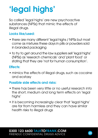### 'legal highs'

So called 'legal highs' are new psychoactive substances (NPSs) that mimic the effects of illegal drugs.

#### Looks like/used:

- there are many different 'legal highs / NPSs but most come as mixtures these days in pills or powders sold in branded packaging
- to try to get around the law suppliers sell 'legal highs' (NPSs) as 'research chemicals' and 'plant food' or stating that they are 'not for human consumption'.

#### Effects:

• mimics the effects of illegal drugs, such as cocaine and ecstasy

#### Possible side effects and risks:

- there has been very little or no useful research into the short, medium and long term effects on 'legal highs'
- it is becoming increasingly clear that 'legal highs' are far from harmless and they can have similar health risks to illegal drugs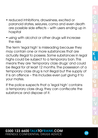- reduced inhibitions, drowsiness, excited or paranoid states, seizures, coma and even death are possible side effects – with users ending up in hospital
- using with alcohol or other drugs will increase the risks

The term 'legal high' is misleading because they may contain one or more substances that are actually illegal to possess. Some substances in leadl highs could be subject to a temporary ban. This means they are 'temporary class drugs' and could be illegal for at least 12 months. The possession of a temporary class drug is not illegal but the supply of it is an offence – this includes even just giving it to your mates.

If the police suspects that a 'legal high' contains a temporary class drug, they can confiscate the substance and dispose of it.

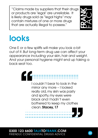"Claims made by suppliers that their drugs or products are 'legal' are unreliable. It is likely drugs sold as "legal highs" may contain mixtures of one or more drugs that are actually illegal to possess."



### looks

One E or a few spliffs will make you look a bit out of it. But long-term drug use can affect your appearance including your skin, hair and weight. And your personal hygiene might end up taking a back seat too.



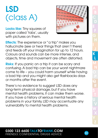### **LSD** (class A)

Looks like: Tiny squares of paper called 'tabs', usually with pictures on them.



**Effects:** The experience or "a trip" makes you hallucinate [see or hear things that aren't there] and feeds off your imagination for up to 12 hours. Colours and sounds can be more intense, and objects, time and movement are often distorted.

**Risks:** If you panic on a trip it can be scary and confusing. A bad trip can be your worst nightmare come to life – you could harm yourself while having a bad trip and you might also get flashbacks days or months after the event.

There's no evidence to suggest LSD does any long-term physical damage, but if you have mental health problems, it can make them worse. If you have a history of serious mental health problems in your family, LSD may accentuate any vulnerability to mental health problems.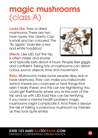### magic mushrooms (class A)

Looks like: Raw or dried mushrooms. There are two main types; the 'Liberty Cap' is small and tan coloured. The 'fly agaric' looks like a red and white toadstool.

**Effects:** Like LSD, but the trip is often milder and shorter



and typically lasts about 4 hours. People feel giggly and confident. Taking lots of mushrooms can distort colour, sound, objects, time and movement.

Risks: Mushrooms make some people dizzy, sick or have diarrhoea. They can make you hallucinate [which means you could see or hear things that aren't really there] and this can be frightening. You could get flashbacks where you re-live part of the trip and, as with LSD, bad trips can be terrifying. If you have a mental health problem, magic mushrooms might complicate it. And there's always the risk of taking a poisonous mushroom by mistake as they look quite similar.

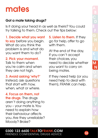### mates

#### Got a mate taking drugs?

Is it doing your head in as well as theirs? You could try talking to them. Check out the tips below:

1. Decide what you want to say before you begin. What do you think the problem is and what do you want them to do?

2. Pick your moment. Talk to them when you're calm and when they are not high.

3. Avoid asking 'why?' Instead, ask questions that start with how, when, what or where.

4. Focus on them, not

the drugs. The drugs aren't doing anything to you – your mate is. You need to explain how their behaviour affects you. Are they unreliable? Moody? Broke?

5. Listen to them. If they go for help, offer to go with them.

At the end of the day, if you can't accept their choices, you need to decide whether you want to carry on being mates.

If they need help [or you need help to deal with them], FRANK can help.

#### 0300 123 6600 TALKTOFRANK.COM **FRIENDLY, CONFIDENTIAL DRUGS ADVICE** 33

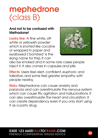### mephedrone (class B)

#### And not to be confused with **Methadone!**

Looks like: A fine white, offwhite or yellowish powder which is snorted like cocaine or wrapped in paper and swallowed ('bombed' is the slang name for this). It can



also be smoked and in some rare cases people inject it. It also comes in capsules and pills.

**Effects:** Users feel alert, confident, euphoric and talkative, and some feel greater empathy with people nearby.

Risks: Mephedrone can cause anxiety and paranoia and can overstimulate the nervous system which can cause fits, agitation and hallucinations. It can also overstimulate the heart and circulation. It can create dependency even if you only start using it as a party drug.

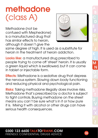### methadone (class A)

Methadone (not be confused with Mephedrone) is a manufactured drug that has similar effects to heroin, although it doesn't give the



same degree of high. It is used as a substitute for heroin in the treatment of heroin addiction.

Looks like: a manufactured drug prescribed to people trying to come off 'street' heroin. It is usually a green liquid which is swallowed, but it can come in tablet or injectable form.

**Effects:** Methadone is a sedative drug that depress the nervous system. Slowing down body functioning and reducing physical and psychological pain.

Risks: Taking methadone illegally does involve risks. Methadone that's prescribed by a doctor is subject to tight controls. Buying methadone on the street means you can't be sure what's in it or how pure it is. Mixing it with alcohol or other drugs can have serious health consequences.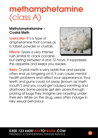### methamphetamine (class A)

#### Methylamphetamine – Crystal Meth

Looks like: It's a type of amphetamine that comes as a tablet, powder or crystals.

**Effects:** Gives a very intense rush similar to crack cocaine



but lasting between 4 and 12 hours. It suppresses the appetite and keeps you awake.

Risks: Crystal meth is very addictive and people often end up bingeing on it. It can cause mental health problems and affect your appearance. Your teeth and gums could rot away [known as 'meth mouth'] and you could get nausea, vomiting and diarrhoea. Some people get skin ulcers through picking at bugs they imagine are crawling under their skin. While on the drug, users often indulge in risky sexual behaviour.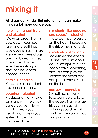### mixing it

All drugs carry risks. But mixing them can make things a lot more dangerous.

#### heroin or tranquillisers and alcohol

'Downer' drugs like this slow down your heart rate and breathing. Overdose is much more likely when these drugs are combined, as they make the 'downer' effect even stronger and can have fatal consequences.

#### heroin + cocaine

Known as a 'speedball', this can be deadly.

#### cocaine + alcohol

Produces a highly toxic substance in the body called cocaethylene which affects your heart and stays in your system longer than cocaine alone.

#### stimulants (like cocaine and speed] + alcohol

These both put pressure on the heart, increasing the risk of heart attack.

#### stimulants + stimulants

Sometimes the effects of one stimulant don't kick in straight away so people take something else. This can give an unpleasant effect and can put a serious strain on the heart.

#### ecstasy + cannabis

Sometimes people take cannabis to take the edge off an ecstasy trip. But instead of calming you down, it could make you anxious and paranoid.

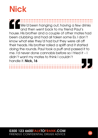### **Nick**

We'd been hanging out, having a few drinks and then went back to my friend Paul's house. His brother and a couple of other mates had been clubbing and had all taken some Es. I don't know what else they'd had but they were all off their heads. His brother rolled a spliff and it started doing the rounds. Paul took a puff and passed it to me. I'd never done cannabis before so I tried it – I didn't want my mates to think I couldn't handle it. Nick, 16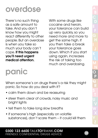### overdose

There's no such thing as a safe amount to take. And you don't know how you might react differently to other people. But an overdose is when you take so much your body can't cope. If this happens you'll need urgent medical attention.

With some drugs like cocaine and heroin, your tolerance can build up very quickly, so you need more and more to get the same high. If you then take a break your tolerance goes down. Which if you start using again, increases the risk of taking too much and overdosing.

### panic

When someone's on drugs there's a risk they might panic. So how do you deal with it?

- calm them down and be reassuring
- steer them clear of crowds, noisy music and bright lights
- tell them to take long slow breaths
- if someone's high (especially on volatile substances], don't scare them – it could kill them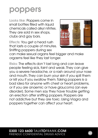### poppers

Looks like: Poppers come in small bottles filled with liquid chemicals called alkyl nitrites. They are sold in sex shops, clubs and gay bars.

Effects: You get a head rush that lasts a couple of minutes. Sniffing poppers during sex



can make sexual organs feel bigger and make orgasms feel like they last longer.

Risks: The effects don't last long and can leave people feeling sick, faint and weak. They can give you a severe headache, or a rash around your nose and mouth. They can burn your skin if you spill them or kill you if you swallow them. Taking poppers is a bad idea for anyone with chest or heart problems, or if you are anaemic or have glaucoma [an eye disorder]. Some men say they have trouble getting an erection after sniffing poppers. Poppers are not addictive but they are toxic. Using Viagra and poppers together can affect your heart.

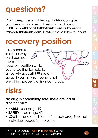### questions?

Don't keep them bottled up. FRANK can give you friendly, confidential help and advice on 0300 123 6600 or at talktofrank.com or by email frank@talktofrank.com. FRANK is available 24 hours

### recovery position

in a bad way on drugs, put them in the recovery position while you're waiting for help to arrive. Always call 999 straight away if you think someone is not breathing properly or is unconscious.

### risks

If someone's

No drug is completely safe. There are lots of different risks:

- HARM see page 19
- **SAFETY** see page 42
- LOWS these are different for each drug. See their individual pages for more info.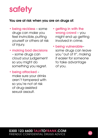### **safety**

#### You are at risk when you are on drugs of:

- being reckless some drugs can make you feel invincible, putting yourself or others at risk of injury.
- • making bad decisions – some drugs can cloud your judgement so you might do something you regret.
- • being attacked make sure your drinks aren't tampered with so you're not at risk of drug-assisted sexual assault.
- aetting in with the wrong crowd – you might end up getting involved in crime.
- • being vulnerable– some drugs can leave you "out of it", making it easier for someone to take advantage of you.

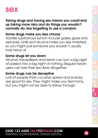

Taking drugs and having sex means you could end up taking more risks and do things you wouldn't normally do, like forgetting to use a condom.

#### Some drugs make you less choosy

Volatile substances [which include gases, glues and aerosols], GHB and alcohol make you less inhibited, so you might pull someone you wouldn't usually look twice at.

#### Some drugs let you down

Alcohol, tranquillisers and heroin can turn a big night of passion into a big night of nothing. Regular heroin users can lose their sex drive altogether.

#### Some drugs can be deceptive

Lots of people think cocaine, speed and ecstasy are good for sex. They might make you feel horny, but you might not be able to follow through.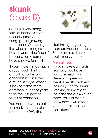### skunk (class B)

Skunk is a very strong form of cannabis that is usually produced using special growing techniques. On average it is twice as strong as hash. It was called "skunk" because some forms have a powerful smell.

If you inhale just as much as you would for hash or traditional herbal cannabis it can have a much stronger effect. It has become more common in recent years than the less potent forms of cannabis.

You need to watch out for skunk, as it contains much more THC (the



stuff that gets you high] than ordinary cannabis. So be aware: skunk can really mess you up.

#### Mental health

If you smoke cannabis regularly, you have an increased risk of developing serious mental health problems, including schizophrenia. Smoking skunk might increase these risks even more. You just don't know how it will affect your mental health in the future.

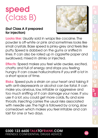### speed (class B)

#### [but Class A if prepared for injection)



Looks like: Usually sold in wraps like cocaine. The powder is off-white or pink and sometimes looks like small crystals. Base speed is pinky-grey and feels like putty. Speed is dabbed on the gums or sniffed in lines. It can also be rolled up in cigarette paper and swallowed, mixed in drinks or injected.

Effects: Speed makes you feel wide awake, excited, chatty and full of energy and stops you feeling hungry. It can cause hallucinations if you sniff a lot in a short space of time.

Risks: Speed puts a strain on your heart and taking it with anti-depressants or alcohol can be fatal. It can make you anxious, low, irritable or aggressive and too much sniffing of it can damage your nose. If you use it a lot, you could get more colds, flu and sore throats. Injecting carries the usual risks associated with needle use. The high is followed by a long, slow comedown which makes you feel irritable and can last for one or two days.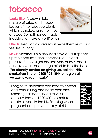### tobacco

Looks like: A brown, flaky mixture of dried and rubbed leaves of the tobacco plant, which is smoked or sometimes chewed. Sometimes cannabis is added to make a 'spliff' or joint.



**Effects:** Regular smokers say it helps them relax and feel less hungry.

Risks: Nicotine is a highly addictive drug. It speeds up the heart rate and increases your blood pressure. Smokers get hooked very quickly and it can take years and a huge effort to kick the habit. (For friendly advice on giving up, call the NHS smokefree line on 0300 123 1044 or log on at www.smokefree.nhs.uk/).

Long-term addiction can lead to cancer and serious lung and heart problems. Smoking has been linked to 2,000 amputations and 120,000 premature deaths a year in the UK. Smoking when pregnant can put your baby at risk.



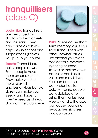### tranquillisers (class C)

Looks like: Tranquillisers are prescribed by doctors to treat anxiety and insomnia. They can come as tablets, capsules, injections and suppositories [tablets you put up your bum].

**Effects: Tranquillisers** calm people down. Some people have them on prescription. They make you feel more relaxed and less anxious but big doses can make you sleepy and forgetful. They're used as chill-out drugs on the club scene.



Risks: Some cause short term memory loss. If you take tranquillisers with other 'downer' drugs like alcohol you might accidentally overdose. Injecting crushed tablets or melted-down capsules can block veins and may kill you. You can become dependent quite quickly – some people get addicted after using them for just four weeks – and withdrawal can cause pounding headaches, sickness and confusion.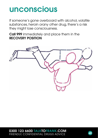### unconscious

If someone's gone overboard with alcohol, volatile substances, heroin orany other drug, there's a risk they might lose consciousness.

Call 999 immediately and place them in the RECOVERY POSITION



0300 123 6600 TALKTOFRANK.COM FRIENDLY, CONFIDENTIAL DRUGS ADVICE

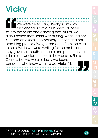### **Vicky**

We were celebrating Becky's birthday and ended up at a club. We'd all been so into the music and dancing that, at first, we didn't notice that Danni was missing. We found her slumped on a sofa – completely out of it and not breathing properly. We got someone from the club to help. While we were waiting for the ambulance, they gave her mouth-to-mouth and put her on her side so she wouldn't choke if she was sick. She's OK now but we were so lucky we found someone who knew what to do. Vicky, 18

#### 0300 123 6600 TALKTOFRANK.COM FRIENDLY, CONFIDENTIAL DRUGS ADVICE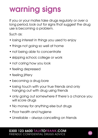### warning signs

If you or your mates take drugs regularly or over a long period, look out for signs that suggest the drug use is becoming a problem.

Such as:

- losing interest in things you used to enjoy
- things not going so well at home
- not being able to concentrate
- skipping school, college or work
- not caring how you look
- feeling depressed
- feeling jittery
- becoming a drug bore
- losing touch with your true friends and only hanging out with drug using friends
- only going out somewhere if there's a chance you will score drugs
- No money for anything else but drugs
- Poor health and hygiene
- Unreliable always cancelling on friends

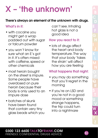### $X$  – 'the unknown'

#### There's always an element of the unknown with drugs.

#### What's in it:

- with cocaine you might get a wrap padded out with sugar or talcum powder
- you won't know for sure what an E's got in it. It's often mixed with caffeine, speed or other chemicals
- most heroin bought on the street is impure. Some people have overdosed on pure heroin because their body is only used to an impure dose
- • batches of skunk have been found that contain very tiny glass beads which you

can't see. Inhaling hot glass is not a good idea

#### How you react to it:

• lots of drugs affect the heart and body temperature. The way that your body 'takes the strain' will affect how you are feeling

#### What happens that night:

- you may do something that you'll regret in the morning
- if you're on LSD and you're not in a good mood or something strange happens, the trip could turn into a nightmare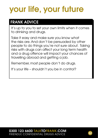## your life, your future

### FRANK ADVICE

It's up to you to set your own limits when it comes to drinking and drugs.

Take it easy and make sure you know what the risks are. And don't be persuaded by other people to do things you're not sure about. Taking risks with drugs can affect your long term health and a drug offence will impact your chances of travelling abroad and getting a job.

Remember, most people don't do drugs.

It's your life – shouldn't you be in control?

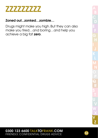

#### Zoned out...zonked…zombie…

Drugs might make you high. But they can also make you tired…and boring…and help you achieve a big fat zero.

#### 0300 123 6600 TALKTOFRANK.COM **EXEMPLE CONFIDENTIAL DRUGS ADVICE** 53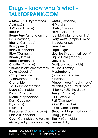### Drugs – know what's what – TALKTOFRANK.COM

5-MeO-DALT (tryptamine) Acid (LSD) AMT (tryptamine) **Base** (Speed) Benzo Fury (amphetaminelike substance) **Bhang** (Cannabis) **Billy** (Speed) **Black** (Cannabis) **Blow** (Cannabis) **Brown** (Heroin) Bubble (mephedrone) Charlie (Cocaine) Christine (Methylamphetamine) Coke (Cocaine) Crazy medicine [Methylamphetamine] Crystal Meth [Methylamphetamine] Dope (Cannabis) Draw (Cannabis) Drone (Mephedrone) Dust (Cocaine) **E** (Ecstasy) **Flash (LSD)** Freebase (Crack cocaine) Ganja (Cannabis) **Gear** (Cannabis and Heroin) Glass (Methylamphetamine)

Grass (Cannabis) **H** (Heroin) Hash (Cannabis) Herb (Cannabis) Ice [Methylamphetamine] Ivory Wave (amphetaminelike substance) **Junk** (Heroin) Legal Highs Liberties (Magic mushrooms) Liquid Gold [Poppers] Lucy [LSD] Marijuana (Cannabis) **MDMA** (Ecstasy) Mephedrone (amphetamine-like substance) Miaow miaow (mephedrone) Mushies [Magic mushrooms] N-Bomb (LSD-like drug) Percy (Cocaine) Pills (Ecstasy) Puff (Cannabis) **Resin** (Cannabis) Rock (Crack cocaine) **Shrooms** (Magic mushrooms) Skag (Heroin) **Skunk** (Cannabis) Smilies (LSD)

#### 0300 123 6600 TALKTOFRANK.COM FRIENDLY, CONFIDENTIAL DRUGS ADVICE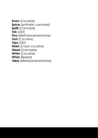Snow (Cocaine) Spice (synthetic cannabis) Spliff (Cannabis) Tab (LSD) **Tina** (Methylamphetamine) Toot (Cocaine) Trips [LSD] Wash (Crack cocaine) Weed (Cannabis) White (Cocaine) Whizz (Speed) Yaba (Methylamphetamine)